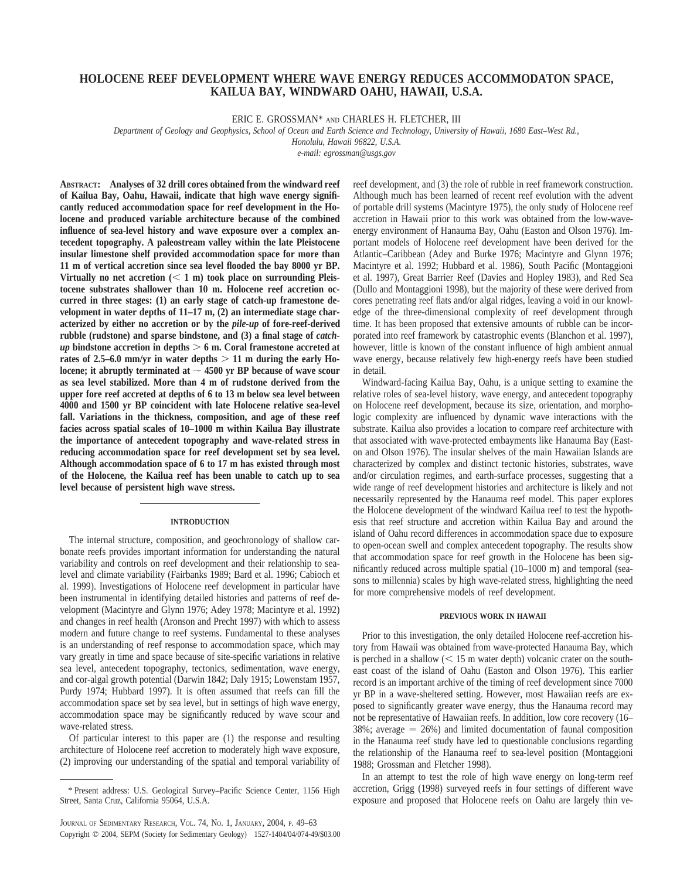# **HOLOCENE REEF DEVELOPMENT WHERE WAVE ENERGY REDUCES ACCOMMODATON SPACE, KAILUA BAY, WINDWARD OAHU, HAWAII, U.S.A.**

ERIC E. GROSSMAN\* AND CHARLES H. FLETCHER, III

*Department of Geology and Geophysics, School of Ocean and Earth Science and Technology, University of Hawaii, 1680 East–West Rd.,*

*Honolulu, Hawaii 96822, U.S.A.*

*e-mail: egrossman@usgs.gov*

**ABSTRACT: Analyses of 32 drill cores obtained from the windward reef of Kailua Bay, Oahu, Hawaii, indicate that high wave energy significantly reduced accommodation space for reef development in the Holocene and produced variable architecture because of the combined influence of sea-level history and wave exposure over a complex antecedent topography. A paleostream valley within the late Pleistocene insular limestone shelf provided accommodation space for more than 11 m of vertical accretion since sea level flooded the bay 8000 yr BP.** Virtually no net accretion  $(< 1$  m) took place on surrounding Pleis**tocene substrates shallower than 10 m. Holocene reef accretion occurred in three stages: (1) an early stage of catch-up framestone development in water depths of 11–17 m, (2) an intermediate stage characterized by either no accretion or by the** *pile-up* **of fore-reef-derived rubble (rudstone) and sparse bindstone, and (3) a final stage of** *catchup* bindstone accretion in depths  $> 6$  m. Coral framestone accreted at rates of 2.5–6.0 mm/yr in water depths  $> 11$  m during the early Ho**locene; it abruptly terminated at**  $\sim$  **4500 yr BP because of wave scour as sea level stabilized. More than 4 m of rudstone derived from the upper fore reef accreted at depths of 6 to 13 m below sea level between 4000 and 1500 yr BP coincident with late Holocene relative sea-level fall. Variations in the thickness, composition, and age of these reef facies across spatial scales of 10–1000 m within Kailua Bay illustrate the importance of antecedent topography and wave-related stress in reducing accommodation space for reef development set by sea level. Although accommodation space of 6 to 17 m has existed through most of the Holocene, the Kailua reef has been unable to catch up to sea level because of persistent high wave stress.**

#### **INTRODUCTION**

The internal structure, composition, and geochronology of shallow carbonate reefs provides important information for understanding the natural variability and controls on reef development and their relationship to sealevel and climate variability (Fairbanks 1989; Bard et al. 1996; Cabioch et al. 1999). Investigations of Holocene reef development in particular have been instrumental in identifying detailed histories and patterns of reef development (Macintyre and Glynn 1976; Adey 1978; Macintyre et al. 1992) and changes in reef health (Aronson and Precht 1997) with which to assess modern and future change to reef systems. Fundamental to these analyses is an understanding of reef response to accommodation space, which may vary greatly in time and space because of site-specific variations in relative sea level, antecedent topography, tectonics, sedimentation, wave energy, and cor-algal growth potential (Darwin 1842; Daly 1915; Lowenstam 1957, Purdy 1974; Hubbard 1997). It is often assumed that reefs can fill the accommodation space set by sea level, but in settings of high wave energy, accommodation space may be significantly reduced by wave scour and wave-related stress.

Of particular interest to this paper are (1) the response and resulting architecture of Holocene reef accretion to moderately high wave exposure, (2) improving our understanding of the spatial and temporal variability of

JOURNAL OF SEDIMENTARY RESEARCH, VOL. 74, NO. 1, JANUARY, 2004, P. 49–63 Copyright © 2004, SEPM (Society for Sedimentary Geology) 1527-1404/04/074-49/\$03.00 reef development, and (3) the role of rubble in reef framework construction. Although much has been learned of recent reef evolution with the advent of portable drill systems (Macintyre 1975), the only study of Holocene reef accretion in Hawaii prior to this work was obtained from the low-waveenergy environment of Hanauma Bay, Oahu (Easton and Olson 1976). Important models of Holocene reef development have been derived for the Atlantic–Caribbean (Adey and Burke 1976; Macintyre and Glynn 1976; Macintyre et al. 1992; Hubbard et al. 1986), South Pacific (Montaggioni et al. 1997), Great Barrier Reef (Davies and Hopley 1983), and Red Sea (Dullo and Montaggioni 1998), but the majority of these were derived from cores penetrating reef flats and/or algal ridges, leaving a void in our knowledge of the three-dimensional complexity of reef development through time. It has been proposed that extensive amounts of rubble can be incorporated into reef framework by catastrophic events (Blanchon et al. 1997), however, little is known of the constant influence of high ambient annual wave energy, because relatively few high-energy reefs have been studied in detail.

Windward-facing Kailua Bay, Oahu, is a unique setting to examine the relative roles of sea-level history, wave energy, and antecedent topography on Holocene reef development, because its size, orientation, and morphologic complexity are influenced by dynamic wave interactions with the substrate. Kailua also provides a location to compare reef architecture with that associated with wave-protected embayments like Hanauma Bay (Easton and Olson 1976). The insular shelves of the main Hawaiian Islands are characterized by complex and distinct tectonic histories, substrates, wave and/or circulation regimes, and earth-surface processes, suggesting that a wide range of reef development histories and architecture is likely and not necessarily represented by the Hanauma reef model. This paper explores the Holocene development of the windward Kailua reef to test the hypothesis that reef structure and accretion within Kailua Bay and around the island of Oahu record differences in accommodation space due to exposure to open-ocean swell and complex antecedent topography. The results show that accommodation space for reef growth in the Holocene has been significantly reduced across multiple spatial (10–1000 m) and temporal (seasons to millennia) scales by high wave-related stress, highlighting the need for more comprehensive models of reef development.

### **PREVIOUS WORK IN HAWAII**

Prior to this investigation, the only detailed Holocene reef-accretion history from Hawaii was obtained from wave-protected Hanauma Bay, which is perched in a shallow  $(< 15 \text{ m}$  water depth) volcanic crater on the southeast coast of the island of Oahu (Easton and Olson 1976). This earlier record is an important archive of the timing of reef development since 7000 yr BP in a wave-sheltered setting. However, most Hawaiian reefs are exposed to significantly greater wave energy, thus the Hanauma record may not be representative of Hawaiian reefs. In addition, low core recovery (16–  $38\%$ ; average =  $26\%$ ) and limited documentation of faunal composition in the Hanauma reef study have led to questionable conclusions regarding the relationship of the Hanauma reef to sea-level position (Montaggioni 1988; Grossman and Fletcher 1998).

In an attempt to test the role of high wave energy on long-term reef accretion, Grigg (1998) surveyed reefs in four settings of different wave exposure and proposed that Holocene reefs on Oahu are largely thin ve-

<sup>\*</sup> Present address: U.S. Geological Survey–Pacific Science Center, 1156 High Street, Santa Cruz, California 95064, U.S.A.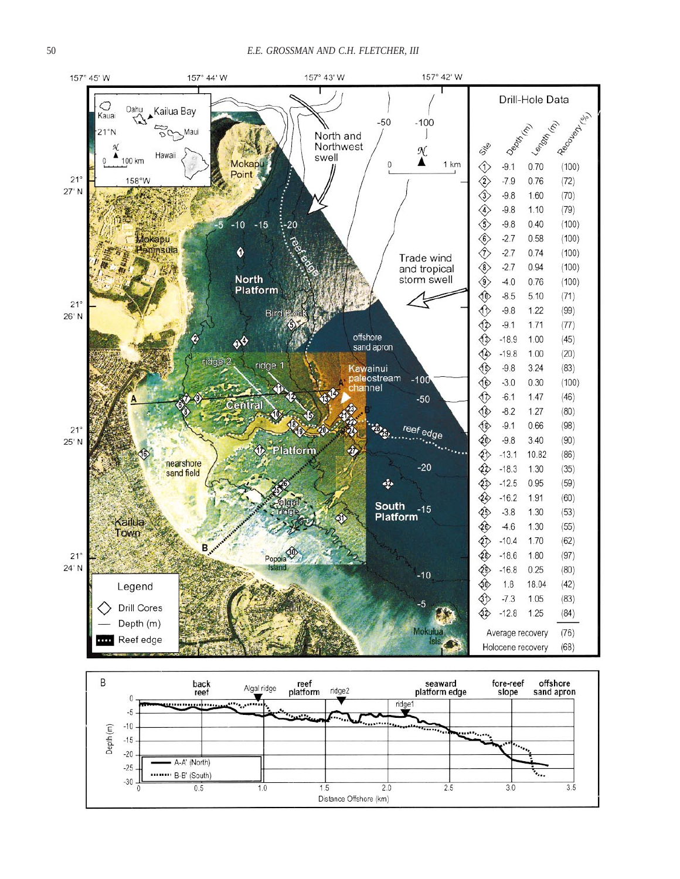

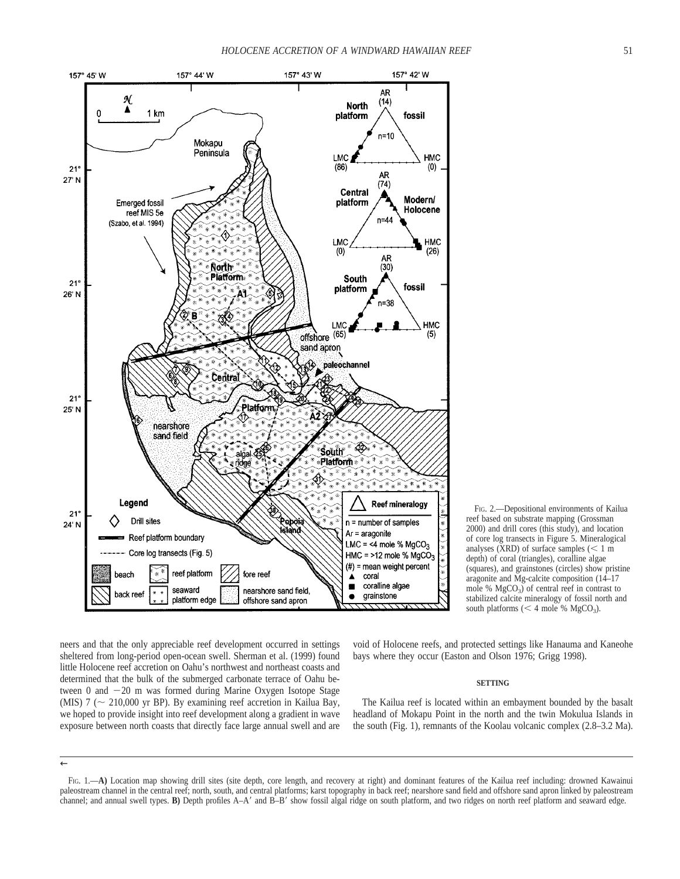

FIG. 2.—Depositional environments of Kailua reef based on substrate mapping (Grossman 2000) and drill cores (this study), and location of core log transects in Figure 5. Mineralogical analyses (XRD) of surface samples  $(< 1$  m depth) of coral (triangles), coralline algae (squares), and grainstones (circles) show pristine aragonite and Mg-calcite composition (14–17 mole %  $MgCO<sub>3</sub>$ ) of central reef in contrast to stabilized calcite mineralogy of fossil north and south platforms ( $<$  4 mole % MgCO<sub>3</sub>).

neers and that the only appreciable reef development occurred in settings sheltered from long-period open-ocean swell. Sherman et al. (1999) found little Holocene reef accretion on Oahu's northwest and northeast coasts and determined that the bulk of the submerged carbonate terrace of Oahu between 0 and  $-20$  m was formed during Marine Oxygen Isotope Stage (MIS) 7 ( $\sim$  210,000 yr BP). By examining reef accretion in Kailua Bay, we hoped to provide insight into reef development along a gradient in wave exposure between north coasts that directly face large annual swell and are

←

void of Holocene reefs, and protected settings like Hanauma and Kaneohe bays where they occur (Easton and Olson 1976; Grigg 1998).

# **SETTING**

The Kailua reef is located within an embayment bounded by the basalt headland of Mokapu Point in the north and the twin Mokulua Islands in the south (Fig. 1), remnants of the Koolau volcanic complex (2.8–3.2 Ma).

FIG. 1.—A) Location map showing drill sites (site depth, core length, and recovery at right) and dominant features of the Kailua reef including: drowned Kawainui paleostream channel in the central reef; north, south, and central platforms; karst topography in back reef; nearshore sand field and offshore sand apron linked by paleostream channel; and annual swell types. **B**) Depth profiles A–A' and B–B' show fossil algal ridge on south platform, and two ridges on north reef platform and seaward edge.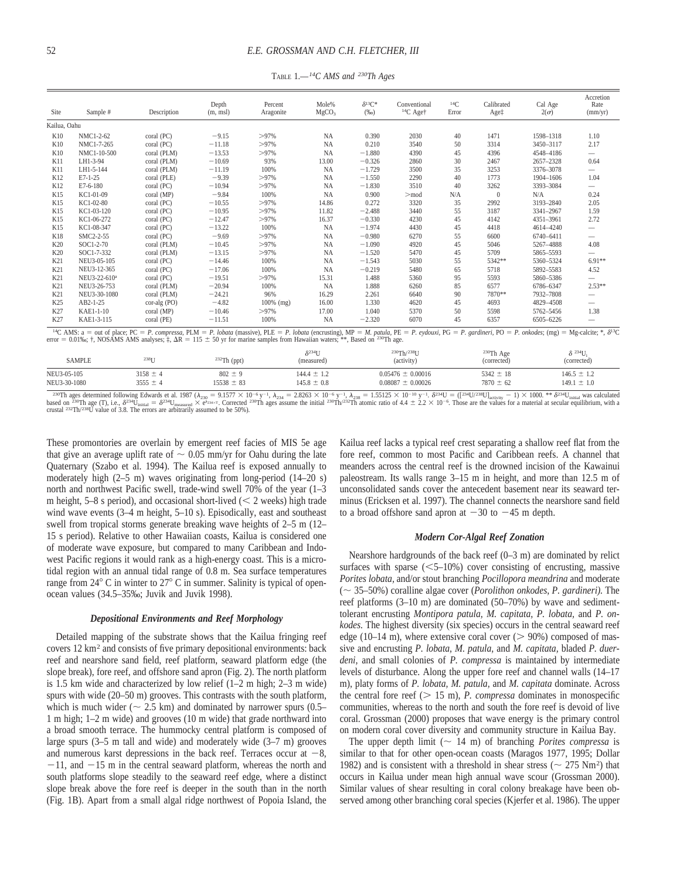TABLE 1.—*14C AMS and 230Th Ages*

| Site            | Sample #                 | Description  | Depth<br>(m, msl) | Percent<br>Aragonite | Mole%<br>MgCO <sub>3</sub> | $\delta^{13}C^*$<br>(%o) | Conventional<br><sup>14</sup> C Age <sup>+</sup> | $^{14}C$<br>Error | Calibrated<br>Aget | Cal Age<br>$2(\sigma)$ | Accretion<br>Rate<br>(mm/yr)  |
|-----------------|--------------------------|--------------|-------------------|----------------------|----------------------------|--------------------------|--------------------------------------------------|-------------------|--------------------|------------------------|-------------------------------|
| Kailua, Oahu    |                          |              |                   |                      |                            |                          |                                                  |                   |                    |                        |                               |
| K10             | NMC1-2-62                | coral (PC)   | $-9.15$           | >97%                 | <b>NA</b>                  | 0.390                    | 2030                                             | 40                | 1471               | 1598-1318              | 1.10                          |
| K10             | NMC1-7-265               | coral (PC)   | $-11.18$          | >97%                 | <b>NA</b>                  | 0.210                    | 3540                                             | 50                | 3314               | 3450-3117              | 2.17                          |
| K10             | NMC1-10-500              | coral (PLM)  | $-13.53$          | >97%                 | <b>NA</b>                  | $-1.880$                 | 4390                                             | 45                | 4396               | 4548-4186              |                               |
| K11             | LH1-3-94                 | coral (PLM)  | $-10.69$          | 93%                  | 13.00                      | $-0.326$                 | 2860                                             | 30                | 2467               | 2657-2328              | 0.64                          |
| K11             | LH1-5-144                | coral (PLM)  | $-11.19$          | 100%                 | <b>NA</b>                  | $-1.729$                 | 3500                                             | 35                | 3253               | 3376-3078              | $\overline{\phantom{0}}$      |
| K12             | $E7 - 1 - 25$            | coral (PLE)  | $-9.39$           | >97%                 | <b>NA</b>                  | $-1.550$                 | 2290                                             | 40                | 1773               | 1904-1606              | 1.04                          |
| K12             | $E7-6-180$               | coral (PC)   | $-10.94$          | >97%                 | <b>NA</b>                  | $-1.830$                 | 3510                                             | 40                | 3262               | 3393-3084              |                               |
| K15             | KC1-01-09                | coral (MP)   | $-9.84$           | 100%                 | <b>NA</b>                  | 0.900                    | $>$ mod                                          | N/A               | $\theta$           | N/A                    | 0.24                          |
| K15             | KC1-02-80                | coral (PC)   | $-10.55$          | >97%                 | 14.86                      | 0.272                    | 3320                                             | 35                | 2992               | 3193-2840              | 2.05                          |
| K15             | KC1-03-120               | coral (PC)   | $-10.95$          | >97%                 | 11.82                      | $-2.488$                 | 3440                                             | 55                | 3187               | 3341-2967              | 1.59                          |
| K15             | KC1-06-272               | coral (PC)   | $-12.47$          | >97%                 | 16.37                      | $-0.330$                 | 4230                                             | 45                | 4142               | 4351-3961              | 2.72                          |
| K15             | KC1-08-347               | coral (PC)   | $-13.22$          | 100%                 | <b>NA</b>                  | $-1.974$                 | 4430                                             | 45                | 4418               | 4614-4240              |                               |
| K18             | SMC2-2-55                | coral (PC)   | $-9.69$           | >97%                 | <b>NA</b>                  | $-0.980$                 | 6270                                             | 55                | 6600               | 6740-6411              |                               |
| K20             | SOC1-2-70                | coral (PLM)  | $-10.45$          | >97%                 | <b>NA</b>                  | $-1.090$                 | 4920                                             | 45                | 5046               | 5267-4888              | 4.08                          |
| K20             | SOC1-7-332               | coral (PLM)  | $-13.15$          | >97%                 | <b>NA</b>                  | $-1.520$                 | 5470                                             | 45                | 5709               | 5865-5593              |                               |
| K21             | NEU3-05-105              | coral (PC)   | $-14.46$          | 100%                 | <b>NA</b>                  | $-1.543$                 | 5030                                             | 55                | 5342**             | 5360-5324              | $6.91**$                      |
| K21             | NEU3-12-365              | coral (PC)   | $-17.06$          | 100%                 | <b>NA</b>                  | $-0.219$                 | 5480                                             | 65                | 5718               | 5892-5583              | 4.52                          |
| K21             | NEU3-22-610 <sup>a</sup> | coral (PC)   | $-19.51$          | >97%                 | 15.31                      | 1.488                    | 5360                                             | 95                | 5593               | 5860-5386              |                               |
| K21             | NEU3-26-753              | coral (PLM)  | $-20.94$          | 100%                 | <b>NA</b>                  | 1.888                    | 6260                                             | 85                | 6577               | 6786-6347              | $2.53**$                      |
| K21             | NEU3-30-1080             | coral (PLM)  | $-24.21$          | 96%                  | 16.29                      | 2.261                    | 6640                                             | 90                | 7870**             | 7932-7808              | $\overline{\phantom{0}}$      |
| K <sub>25</sub> | AB2-1-25                 | cor-alg (PO) | $-4.82$           | $100\%$ (mg)         | 16.00                      | 1.330                    | 4620                                             | 45                | 4693               | 4829-4508              |                               |
| K27             | KAE1-1-10                | coral (MP)   | $-10.46$          | >97%                 | 17.00                      | 1.040                    | 5370                                             | 50                | 5598               | 5762-5456              | 1.38                          |
| K27             | KAE1-3-115               | coral (PE)   | $-11.51$          | 100%                 | <b>NA</b>                  | $-2.320$                 | 6070                                             | 45                | 6357               | 6505-6226              | $\overbrace{\phantom{13333}}$ |

<sup>14</sup>C AMS: a = out of place; PC = P. compressa, PLM = P. lobata (massive), PLE = P. lobata (encrusting), MP = M. patula, PE = P. eydouxi, PG = P. gardineri, PO = P. onkodes; (mg) = Mg-calcite; \*,  $\delta^{13}$ C error = 0.01‰;

| <b>SAMPLE</b> | 238T         | $232Th$ (ppt)  | $\delta^{234}$ U<br>(measured) | 230Th/238U<br>(activity) | <sup>230</sup> Th Age<br>(corrected) | $\delta$ <sup>234</sup> U.<br>(corrected) |
|---------------|--------------|----------------|--------------------------------|--------------------------|--------------------------------------|-------------------------------------------|
| NEU3-05-105   | $3158 \pm 4$ | $802 \pm 9$    | $144.4 \pm 1.2$                | $0.05476 \pm 0.00016$    | $5342 \pm 18$                        | $146.5 \pm 1.2$                           |
| NEU3-30-1080  | $3555 \pm 4$ | $15538 \pm 83$ | $145.8 \pm 0.8$                | $0.08087 \pm 0.00026$    | $7870 \pm 62$                        | $149.1 \pm 1.0$                           |

<sup>230</sup>Th ages determined following Edwards et al. 1987 ( $\lambda_{230} = 9.1577 \times 10^{-6}$  y<sup>-1</sup>,  $\lambda_{234} = 2.8263 \times 10^{-6}$  y<sup>-1</sup>,  $\lambda_{238} = 1.55125 \times 10^{-10}$  y<sup>-1</sup>.  $\delta^{234}U = (1^{234}U/2^{28}U)_{\text{activity}} - 1) \times 1000$ . \*\*  $\delta^{234}U_{\text{initial}}$ 

These promontories are overlain by emergent reef facies of MIS 5e age that give an average uplift rate of  $\sim 0.05$  mm/yr for Oahu during the late Quaternary (Szabo et al. 1994). The Kailua reef is exposed annually to moderately high (2–5 m) waves originating from long-period (14–20 s) north and northwest Pacific swell, trade-wind swell 70% of the year (1–3 m height,  $5-8$  s period), and occasional short-lived ( $<$  2 weeks) high trade wind wave events (3–4 m height, 5–10 s). Episodically, east and southeast swell from tropical storms generate breaking wave heights of 2–5 m (12– 15 s period). Relative to other Hawaiian coasts, Kailua is considered one of moderate wave exposure, but compared to many Caribbean and Indowest Pacific regions it would rank as a high-energy coast. This is a microtidal region with an annual tidal range of 0.8 m. Sea surface temperatures range from  $24^{\circ}$  C in winter to  $27^{\circ}$  C in summer. Salinity is typical of openocean values (34.5–35‰; Juvik and Juvik 1998).

### *Depositional Environments and Reef Morphology*

Detailed mapping of the substrate shows that the Kailua fringing reef covers 12 km<sup>2</sup> and consists of five primary depositional environments: back reef and nearshore sand field, reef platform, seaward platform edge (the slope break), fore reef, and offshore sand apron (Fig. 2). The north platform is 1.5 km wide and characterized by low relief (1–2 m high; 2–3 m wide) spurs with wide (20–50 m) grooves. This contrasts with the south platform, which is much wider ( $\sim 2.5$  km) and dominated by narrower spurs (0.5– 1 m high; 1–2 m wide) and grooves (10 m wide) that grade northward into a broad smooth terrace. The hummocky central platform is composed of large spurs (3–5 m tall and wide) and moderately wide (3–7 m) grooves and numerous karst depressions in the back reef. Terraces occur at  $-8$ ,  $-11$ , and  $-15$  m in the central seaward platform, whereas the north and south platforms slope steadily to the seaward reef edge, where a distinct slope break above the fore reef is deeper in the south than in the north (Fig. 1B). Apart from a small algal ridge northwest of Popoia Island, the

Kailua reef lacks a typical reef crest separating a shallow reef flat from the fore reef, common to most Pacific and Caribbean reefs. A channel that meanders across the central reef is the drowned incision of the Kawainui paleostream. Its walls range 3–15 m in height, and more than 12.5 m of unconsolidated sands cover the antecedent basement near its seaward terminus (Ericksen et al. 1997). The channel connects the nearshore sand field to a broad offshore sand apron at  $-30$  to  $-45$  m depth.

### *Modern Cor-Algal Reef Zonation*

Nearshore hardgrounds of the back reef (0–3 m) are dominated by relict surfaces with sparse  $(<5-10\%)$  cover consisting of encrusting, massive *Porites lobata,* and/or stout branching *Pocillopora meandrina* and moderate  $(\sim 35{\text -}50\%)$  coralline algae cover (*Porolithon onkodes, P. gardineri*). The reef platforms (3–10 m) are dominated (50–70%) by wave and sedimenttolerant encrusting *Montipora patula, M. capitata, P. lobata,* and *P. onkodes.* The highest diversity (six species) occurs in the central seaward reef edge (10–14 m), where extensive coral cover ( $> 90\%$ ) composed of massive and encrusting *P. lobata, M. patula,* and *M. capitata,* bladed *P. duerdeni,* and small colonies of *P. compressa* is maintained by intermediate levels of disturbance. Along the upper fore reef and channel walls (14–17 m), platy forms of *P. lobata, M. patula,* and *M. capitata* dominate. Across the central fore reef ( $> 15$  m), *P. compressa* dominates in monospecific communities, whereas to the north and south the fore reef is devoid of live coral. Grossman (2000) proposes that wave energy is the primary control on modern coral cover diversity and community structure in Kailua Bay.

The upper depth limit  $($   $\sim$  14 m) of branching *Porites compressa* is similar to that for other open-ocean coasts (Maragos 1977, 1995; Dollar 1982) and is consistent with a threshold in shear stress ( $\sim$  275 Nm<sup>2</sup>) that occurs in Kailua under mean high annual wave scour (Grossman 2000). Similar values of shear resulting in coral colony breakage have been observed among other branching coral species (Kjerfer et al. 1986). The upper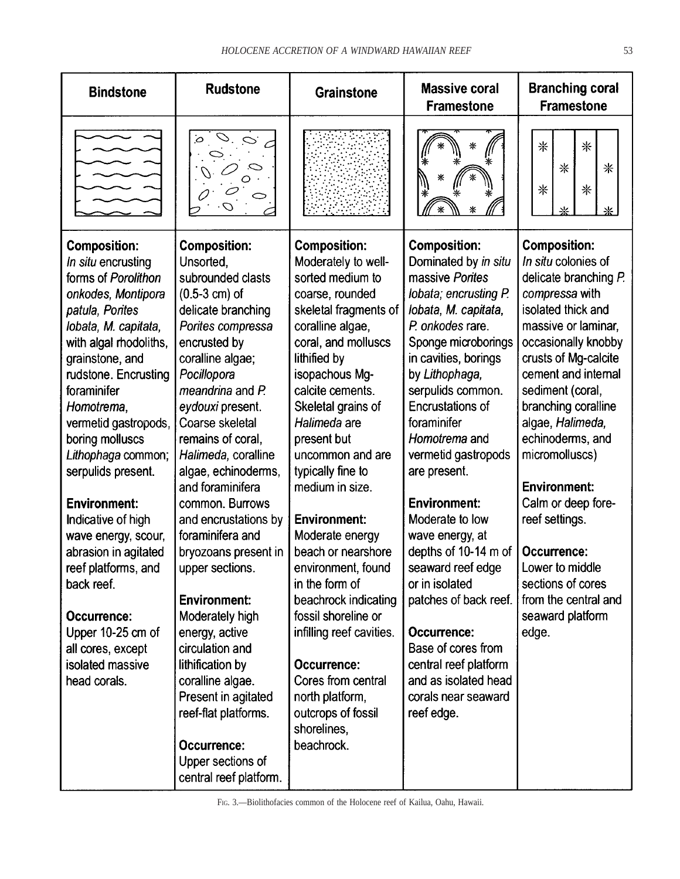| <b>Bindstone</b>                                                                                                                                                                                                                                                                                                                                                                                                                                                                                                                                         | <b>Rudstone</b>                                                                                                                                                                                                                                                                                                                                                                                                                                                                                                                                                                                                                                                                | <b>Grainstone</b>                                                                                                                                                                                                                                                                                                                                                                                                                                                                                                                                                                                                          | <b>Massive coral</b><br><b>Framestone</b>                                                                                                                                                                                                                                                                                                                                                                                                                                                                                                                                                            | <b>Branching coral</b><br><b>Framestone</b>                                                                                                                                                                                                                                                                                                                                                                                                                                              |  |
|----------------------------------------------------------------------------------------------------------------------------------------------------------------------------------------------------------------------------------------------------------------------------------------------------------------------------------------------------------------------------------------------------------------------------------------------------------------------------------------------------------------------------------------------------------|--------------------------------------------------------------------------------------------------------------------------------------------------------------------------------------------------------------------------------------------------------------------------------------------------------------------------------------------------------------------------------------------------------------------------------------------------------------------------------------------------------------------------------------------------------------------------------------------------------------------------------------------------------------------------------|----------------------------------------------------------------------------------------------------------------------------------------------------------------------------------------------------------------------------------------------------------------------------------------------------------------------------------------------------------------------------------------------------------------------------------------------------------------------------------------------------------------------------------------------------------------------------------------------------------------------------|------------------------------------------------------------------------------------------------------------------------------------------------------------------------------------------------------------------------------------------------------------------------------------------------------------------------------------------------------------------------------------------------------------------------------------------------------------------------------------------------------------------------------------------------------------------------------------------------------|------------------------------------------------------------------------------------------------------------------------------------------------------------------------------------------------------------------------------------------------------------------------------------------------------------------------------------------------------------------------------------------------------------------------------------------------------------------------------------------|--|
|                                                                                                                                                                                                                                                                                                                                                                                                                                                                                                                                                          |                                                                                                                                                                                                                                                                                                                                                                                                                                                                                                                                                                                                                                                                                |                                                                                                                                                                                                                                                                                                                                                                                                                                                                                                                                                                                                                            | ⋇<br>⋇<br>∗<br>$*$<br>米                                                                                                                                                                                                                                                                                                                                                                                                                                                                                                                                                                              | 米<br>米<br>米<br>米<br>米<br>米<br>米<br>يراد                                                                                                                                                                                                                                                                                                                                                                                                                                                  |  |
| <b>Composition:</b><br>In situ encrusting<br>forms of Porolithon<br>onkodes, Montipora<br>patula, Porites<br>lobata, M. capitata,<br>with algal rhodoliths,<br>grainstone, and<br>rudstone. Encrusting<br>foraminifer<br>Homotrema,<br>vermetid gastropods,<br>boring molluscs<br>Lithophaga common;<br>serpulids present.<br><b>Environment:</b><br>Indicative of high<br>wave energy, scour,<br>abrasion in agitated<br>reef platforms, and<br>back reef.<br>Occurrence:<br>Upper 10-25 cm of<br>all cores, except<br>isolated massive<br>head corals. | <b>Composition:</b><br>Unsorted,<br>subrounded clasts<br>$(0.5-3 \text{ cm})$ of<br>delicate branching<br>Porites compressa<br>encrusted by<br>coralline algae;<br>Pocillopora<br>meandrina and P.<br>eydouxi present.<br>Coarse skeletal<br>remains of coral,<br>Halimeda, coralline<br>algae, echinoderms,<br>and foraminifera<br>common. Burrows<br>and encrustations by<br>foraminifera and<br>bryozoans present in<br>upper sections.<br><b>Environment:</b><br>Moderately high<br>energy, active<br>circulation and<br>lithification by<br>coralline algae.<br>Present in agitated<br>reef-flat platforms.<br>Occurrence:<br>Upper sections of<br>central reef platform. | <b>Composition:</b><br>Moderately to well-<br>sorted medium to<br>coarse, rounded<br>skeletal fragments of<br>coralline algae,<br>coral, and molluscs<br>lithified by<br>isopachous Mg-<br>calcite cements.<br>Skeletal grains of<br>Halimeda are<br>present but<br>uncommon and are<br>typically fine to<br>medium in size.<br><b>Environment:</b><br>Moderate energy<br>beach or nearshore<br>environment, found<br>in the form of<br>beachrock indicating<br>fossil shoreline or<br>infilling reef cavities.<br>Occurrence:<br>Cores from central<br>north platform,<br>outcrops of fossil<br>shorelines,<br>beachrock. | <b>Composition:</b><br>Dominated by in situ<br>massive Porites<br>lobata; encrusting P.<br>lobata, M. capitata,<br>P. onkodes rare.<br>Sponge microborings<br>in cavities, borings<br>by Lithophaga,<br>serpulids common.<br>Encrustations of<br>foraminifer<br>Homotrema and<br>vermetid gastropods<br>are present.<br><b>Environment:</b><br>Moderate to low<br>wave energy, at<br>depths of 10-14 m of<br>seaward reef edge<br>or in isolated<br>patches of back reef.<br>Occurrence:<br>Base of cores from<br>central reef platform<br>and as isolated head<br>corals near seaward<br>reef edge. | <b>Composition:</b><br>In situ colonies of<br>delicate branching P.<br>compressa with<br>isolated thick and<br>massive or laminar,<br>occasionally knobby<br>crusts of Mg-calcite<br>cement and internal<br>sediment (coral,<br>branching coralline<br>algae, Halimeda,<br>echinoderms, and<br>micromolluscs)<br><b>Environment:</b><br>Calm or deep fore-<br>reef settings.<br>Occurrence:<br>Lower to middle<br>sections of cores<br>from the central and<br>seaward platform<br>edge. |  |

FIG. 3.—Biolithofacies common of the Holocene reef of Kailua, Oahu, Hawaii.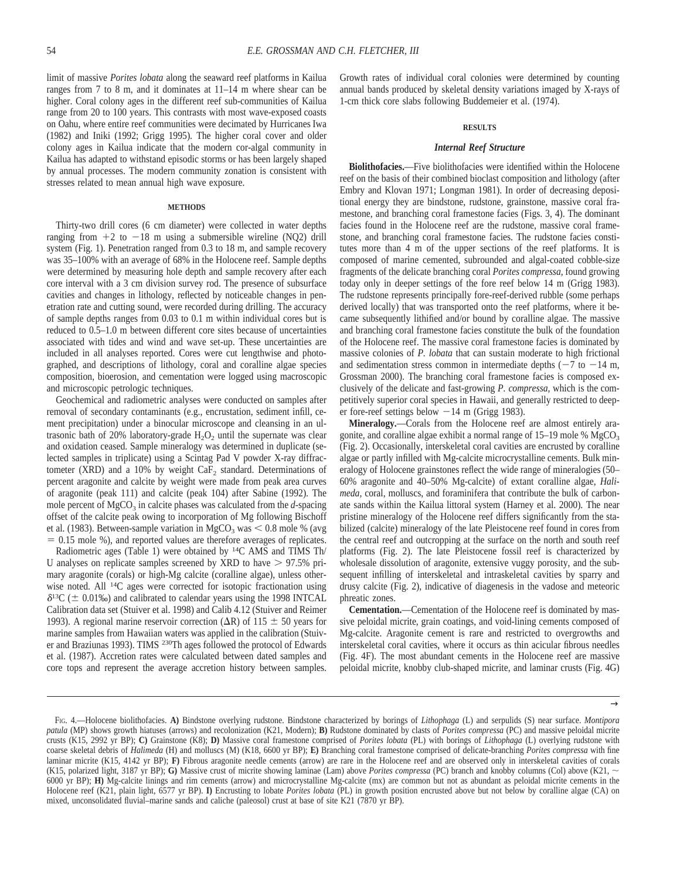limit of massive *Porites lobata* along the seaward reef platforms in Kailua ranges from 7 to 8 m, and it dominates at 11–14 m where shear can be higher. Coral colony ages in the different reef sub-communities of Kailua range from 20 to 100 years. This contrasts with most wave-exposed coasts on Oahu, where entire reef communities were decimated by Hurricanes Iwa (1982) and Iniki (1992; Grigg 1995). The higher coral cover and older colony ages in Kailua indicate that the modern cor-algal community in Kailua has adapted to withstand episodic storms or has been largely shaped by annual processes. The modern community zonation is consistent with stresses related to mean annual high wave exposure.

### **METHODS**

Thirty-two drill cores (6 cm diameter) were collected in water depths ranging from  $+2$  to  $-18$  m using a submersible wireline (NQ2) drill system (Fig. 1). Penetration ranged from 0.3 to 18 m, and sample recovery was 35–100% with an average of 68% in the Holocene reef. Sample depths were determined by measuring hole depth and sample recovery after each core interval with a 3 cm division survey rod. The presence of subsurface cavities and changes in lithology, reflected by noticeable changes in penetration rate and cutting sound, were recorded during drilling. The accuracy of sample depths ranges from 0.03 to 0.1 m within individual cores but is reduced to 0.5–1.0 m between different core sites because of uncertainties associated with tides and wind and wave set-up. These uncertainties are included in all analyses reported. Cores were cut lengthwise and photographed, and descriptions of lithology, coral and coralline algae species composition, bioerosion, and cementation were logged using macroscopic and microscopic petrologic techniques.

Geochemical and radiometric analyses were conducted on samples after removal of secondary contaminants (e.g., encrustation, sediment infill, cement precipitation) under a binocular microscope and cleansing in an ultrasonic bath of 20% laboratory-grade  $H_2O_2$  until the supernate was clear and oxidation ceased. Sample mineralogy was determined in duplicate (selected samples in triplicate) using a Scintag Pad V powder X-ray diffractometer (XRD) and a 10% by weight  $CaF<sub>2</sub>$  standard. Determinations of percent aragonite and calcite by weight were made from peak area curves of aragonite (peak 111) and calcite (peak 104) after Sabine (1992). The mole percent of  $MgCO<sub>3</sub>$  in calcite phases was calculated from the *d*-spacing offset of the calcite peak owing to incorporation of Mg following Bischoff et al. (1983). Between-sample variation in  $MgCO<sub>3</sub>$  was  $< 0.8$  mole % (avg  $= 0.15$  mole %), and reported values are therefore averages of replicates.

Radiometric ages (Table 1) were obtained by 14C AMS and TIMS Th/ U analyses on replicate samples screened by XRD to have  $> 97.5\%$  primary aragonite (corals) or high-Mg calcite (coralline algae), unless otherwise noted. All 14C ages were corrected for isotopic fractionation using  $\delta^{13}C$  ( $\pm$  0.01‰) and calibrated to calendar years using the 1998 INTCAL Calibration data set (Stuiver et al. 1998) and Calib 4.12 (Stuiver and Reimer 1993). A regional marine reservoir correction ( $\Delta R$ ) of 115  $\pm$  50 years for marine samples from Hawaiian waters was applied in the calibration (Stuiver and Braziunas 1993). TIMS 230Th ages followed the protocol of Edwards et al. (1987). Accretion rates were calculated between dated samples and core tops and represent the average accretion history between samples. Growth rates of individual coral colonies were determined by counting annual bands produced by skeletal density variations imaged by X-rays of 1-cm thick core slabs following Buddemeier et al. (1974).

### **RESULTS**

### *Internal Reef Structure*

**Biolithofacies.**—Five biolithofacies were identified within the Holocene reef on the basis of their combined bioclast composition and lithology (after Embry and Klovan 1971; Longman 1981). In order of decreasing depositional energy they are bindstone, rudstone, grainstone, massive coral framestone, and branching coral framestone facies (Figs. 3, 4). The dominant facies found in the Holocene reef are the rudstone, massive coral framestone, and branching coral framestone facies. The rudstone facies constitutes more than 4 m of the upper sections of the reef platforms. It is composed of marine cemented, subrounded and algal-coated cobble-size fragments of the delicate branching coral *Porites compressa,* found growing today only in deeper settings of the fore reef below 14 m (Grigg 1983). The rudstone represents principally fore-reef-derived rubble (some perhaps derived locally) that was transported onto the reef platforms, where it became subsequently lithified and/or bound by coralline algae. The massive and branching coral framestone facies constitute the bulk of the foundation of the Holocene reef. The massive coral framestone facies is dominated by massive colonies of *P. lobata* that can sustain moderate to high frictional and sedimentation stress common in intermediate depths  $(-7 \text{ to } -14 \text{ m})$ , Grossman 2000). The branching coral framestone facies is composed exclusively of the delicate and fast-growing *P. compressa,* which is the competitively superior coral species in Hawaii, and generally restricted to deeper fore-reef settings below  $-14$  m (Grigg 1983).

**Mineralogy.**—Corals from the Holocene reef are almost entirely aragonite, and coralline algae exhibit a normal range of  $15-19$  mole %  $MgCO<sub>3</sub>$ (Fig. 2). Occasionally, interskeletal coral cavities are encrusted by coralline algae or partly infilled with Mg-calcite microcrystalline cements. Bulk mineralogy of Holocene grainstones reflect the wide range of mineralogies (50– 60% aragonite and 40–50% Mg-calcite) of extant coralline algae, *Halimeda,* coral, molluscs, and foraminifera that contribute the bulk of carbonate sands within the Kailua littoral system (Harney et al. 2000). The near pristine mineralogy of the Holocene reef differs significantly from the stabilized (calcite) mineralogy of the late Pleistocene reef found in cores from the central reef and outcropping at the surface on the north and south reef platforms (Fig. 2). The late Pleistocene fossil reef is characterized by wholesale dissolution of aragonite, extensive vuggy porosity, and the subsequent infilling of interskeletal and intraskeletal cavities by sparry and drusy calcite (Fig. 2), indicative of diagenesis in the vadose and meteoric phreatic zones.

**Cementation.**—Cementation of the Holocene reef is dominated by massive peloidal micrite, grain coatings, and void-lining cements composed of Mg-calcite. Aragonite cement is rare and restricted to overgrowths and interskeletal coral cavities, where it occurs as thin acicular fibrous needles (Fig. 4F). The most abundant cements in the Holocene reef are massive peloidal micrite, knobby club-shaped micrite, and laminar crusts (Fig. 4G)

 $\rightarrow$ 

FIG. 4.—Holocene biolithofacies. **A)** Bindstone overlying rudstone. Bindstone characterized by borings of *Lithophaga* (L) and serpulids (S) near surface. *Montipora patula* (MP) shows growth hiatuses (arrows) and recolonization (K21, Modern); **B)** Rudstone dominated by clasts of *Porites compressa* (PC) and massive peloidal micrite crusts (K15, 2992 yr BP); **C)** Grainstone (K8); **D)** Massive coral framestone comprised of *Porites lobata* (PL) with borings of *Lithophaga* (L) overlying rudstone with coarse skeletal debris of *Halimeda* (H) and molluscs (M) (K18, 6600 yr BP); **E)** Branching coral framestone comprised of delicate-branching *Porites compressa* with fine laminar micrite (K15, 4142 yr BP); **F**) Fibrous aragonite needle cements (arrow) are rare in the Holocene reef and are observed only in interskeletal cavities of corals (K15, polarized light, 3187 yr BP); **G)** Massive crust of micrite showing laminae (Lam) above *Porites compressa* (PC) branch and knobby columns (Col) above (K21, ; 6000 yr BP); **H)** Mg-calcite linings and rim cements (arrow) and microcrystalline Mg-calcite (mx) are common but not as abundant as peloidal micrite cements in the Holocene reef (K21, plain light, 6577 yr BP). **I)** Encrusting to lobate *Porites lobata* (PL) in growth position encrusted above but not below by coralline algae (CA) on mixed, unconsolidated fluvial–marine sands and caliche (paleosol) crust at base of site K21 (7870 yr BP).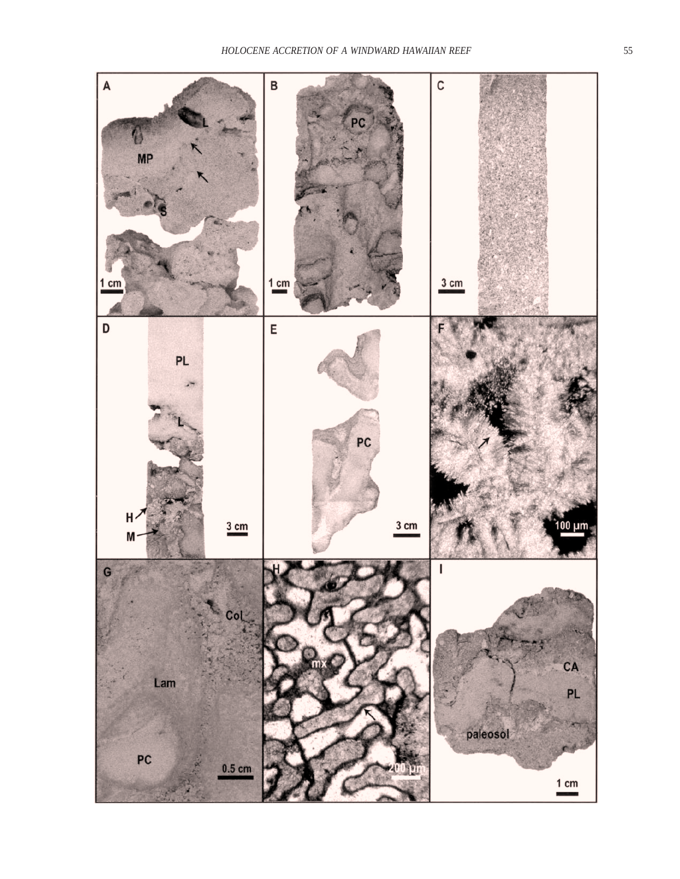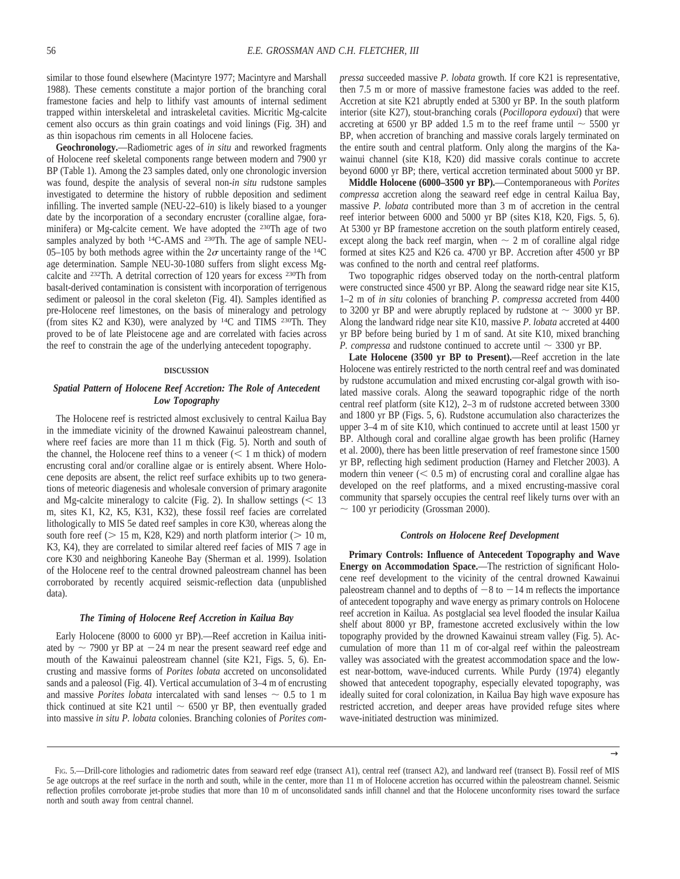similar to those found elsewhere (Macintyre 1977; Macintyre and Marshall 1988). These cements constitute a major portion of the branching coral framestone facies and help to lithify vast amounts of internal sediment trapped within interskeletal and intraskeletal cavities. Micritic Mg-calcite cement also occurs as thin grain coatings and void linings (Fig. 3H) and as thin isopachous rim cements in all Holocene facies.

**Geochronology.**—Radiometric ages of *in situ* and reworked fragments of Holocene reef skeletal components range between modern and 7900 yr BP (Table 1). Among the 23 samples dated, only one chronologic inversion was found, despite the analysis of several non-*in situ* rudstone samples investigated to determine the history of rubble deposition and sediment infilling. The inverted sample (NEU-22–610) is likely biased to a younger date by the incorporation of a secondary encruster (coralline algae, foraminifera) or Mg-calcite cement. We have adopted the 230Th age of two samples analyzed by both <sup>14</sup>C-AMS and <sup>230</sup>Th. The age of sample NEU-05–105 by both methods agree within the  $2\sigma$  uncertainty range of the <sup>14</sup>C age determination. Sample NEU-30-1080 suffers from slight excess Mgcalcite and 232Th. A detrital correction of 120 years for excess 230Th from basalt-derived contamination is consistent with incorporation of terrigenous sediment or paleosol in the coral skeleton (Fig. 4I). Samples identified as pre-Holocene reef limestones, on the basis of mineralogy and petrology (from sites K2 and K30), were analyzed by  $^{14}C$  and TIMS <sup>230</sup>Th. They proved to be of late Pleistocene age and are correlated with facies across the reef to constrain the age of the underlying antecedent topography.

### **DISCUSSION**

### *Spatial Pattern of Holocene Reef Accretion: The Role of Antecedent Low Topography*

The Holocene reef is restricted almost exclusively to central Kailua Bay in the immediate vicinity of the drowned Kawainui paleostream channel, where reef facies are more than 11 m thick (Fig. 5). North and south of the channel, the Holocene reef thins to a veneer  $(< 1$  m thick) of modern encrusting coral and/or coralline algae or is entirely absent. Where Holocene deposits are absent, the relict reef surface exhibits up to two generations of meteoric diagenesis and wholesale conversion of primary aragonite and Mg-calcite mineralogy to calcite (Fig. 2). In shallow settings  $\zeta < 13$ m, sites K1, K2, K5, K31, K32), these fossil reef facies are correlated lithologically to MIS 5e dated reef samples in core K30, whereas along the south fore reef ( $> 15$  m, K28, K29) and north platform interior ( $> 10$  m, K3, K4), they are correlated to similar altered reef facies of MIS 7 age in core K30 and neighboring Kaneohe Bay (Sherman et al. 1999). Isolation of the Holocene reef to the central drowned paleostream channel has been corroborated by recently acquired seismic-reflection data (unpublished data).

### *The Timing of Holocene Reef Accretion in Kailua Bay*

Early Holocene (8000 to 6000 yr BP).—Reef accretion in Kailua initiated by  $\sim$  7900 yr BP at  $-24$  m near the present seaward reef edge and mouth of the Kawainui paleostream channel (site K21, Figs. 5, 6). Encrusting and massive forms of *Porites lobata* accreted on unconsolidated sands and a paleosol (Fig. 4I). Vertical accumulation of 3–4 m of encrusting and massive *Porites lobata* intercalated with sand lenses  $\sim$  0.5 to 1 m thick continued at site K21 until  $\sim$  6500 yr BP, then eventually graded into massive *in situ P. lobata* colonies. Branching colonies of *Porites com-* *pressa* succeeded massive *P. lobata* growth. If core K21 is representative, then 7.5 m or more of massive framestone facies was added to the reef. Accretion at site K21 abruptly ended at 5300 yr BP. In the south platform interior (site K27), stout-branching corals (*Pocillopora eydouxi*) that were accreting at 6500 yr BP added 1.5 m to the reef frame until  $\sim$  5500 yr BP, when accretion of branching and massive corals largely terminated on the entire south and central platform. Only along the margins of the Kawainui channel (site K18, K20) did massive corals continue to accrete beyond 6000 yr BP; there, vertical accretion terminated about 5000 yr BP.

**Middle Holocene (6000–3500 yr BP).**—Contemporaneous with *Porites compressa* accretion along the seaward reef edge in central Kailua Bay, massive *P. lobata* contributed more than 3 m of accretion in the central reef interior between 6000 and 5000 yr BP (sites K18, K20, Figs. 5, 6). At 5300 yr BP framestone accretion on the south platform entirely ceased, except along the back reef margin, when  $\sim$  2 m of coralline algal ridge formed at sites K25 and K26 ca. 4700 yr BP. Accretion after 4500 yr BP was confined to the north and central reef platforms.

Two topographic ridges observed today on the north-central platform were constructed since 4500 yr BP. Along the seaward ridge near site K15, 1–2 m of *in situ* colonies of branching *P. compressa* accreted from 4400 to 3200 yr BP and were abruptly replaced by rudstone at  $\sim$  3000 yr BP. Along the landward ridge near site K10, massive *P. lobata* accreted at 4400 yr BP before being buried by 1 m of sand. At site K10, mixed branching *P. compressa* and rudstone continued to accrete until  $\sim$  3300 yr BP.

**Late Holocene (3500 yr BP to Present).**—Reef accretion in the late Holocene was entirely restricted to the north central reef and was dominated by rudstone accumulation and mixed encrusting cor-algal growth with isolated massive corals. Along the seaward topographic ridge of the north central reef platform (site K12), 2–3 m of rudstone accreted between 3300 and 1800 yr BP (Figs. 5, 6). Rudstone accumulation also characterizes the upper 3–4 m of site K10, which continued to accrete until at least 1500 yr BP. Although coral and coralline algae growth has been prolific (Harney et al. 2000), there has been little preservation of reef framestone since 1500 yr BP, reflecting high sediment production (Harney and Fletcher 2003). A modern thin veneer  $(< 0.5$  m) of encrusting coral and coralline algae has developed on the reef platforms, and a mixed encrusting-massive coral community that sparsely occupies the central reef likely turns over with an  $\sim$  100 yr periodicity (Grossman 2000).

#### *Controls on Holocene Reef Development*

**Primary Controls: Influence of Antecedent Topography and Wave Energy on Accommodation Space.**—The restriction of significant Holocene reef development to the vicinity of the central drowned Kawainui paleostream channel and to depths of  $-8$  to  $-14$  m reflects the importance of antecedent topography and wave energy as primary controls on Holocene reef accretion in Kailua. As postglacial sea level flooded the insular Kailua shelf about 8000 yr BP, framestone accreted exclusively within the low topography provided by the drowned Kawainui stream valley (Fig. 5). Accumulation of more than 11 m of cor-algal reef within the paleostream valley was associated with the greatest accommodation space and the lowest near-bottom, wave-induced currents. While Purdy (1974) elegantly showed that antecedent topography, especially elevated topography, was ideally suited for coral colonization, in Kailua Bay high wave exposure has restricted accretion, and deeper areas have provided refuge sites where wave-initiated destruction was minimized.

 $\rightarrow$ 

FIG. 5.—Drill-core lithologies and radiometric dates from seaward reef edge (transect A1), central reef (transect A2), and landward reef (transect B). Fossil reef of MIS 5e age outcrops at the reef surface in the north and south, while in the center, more than 11 m of Holocene accretion has occurred within the paleostream channel. Seismic reflection profiles corroborate jet-probe studies that more than 10 m of unconsolidated sands infill channel and that the Holocene unconformity rises toward the surface north and south away from central channel.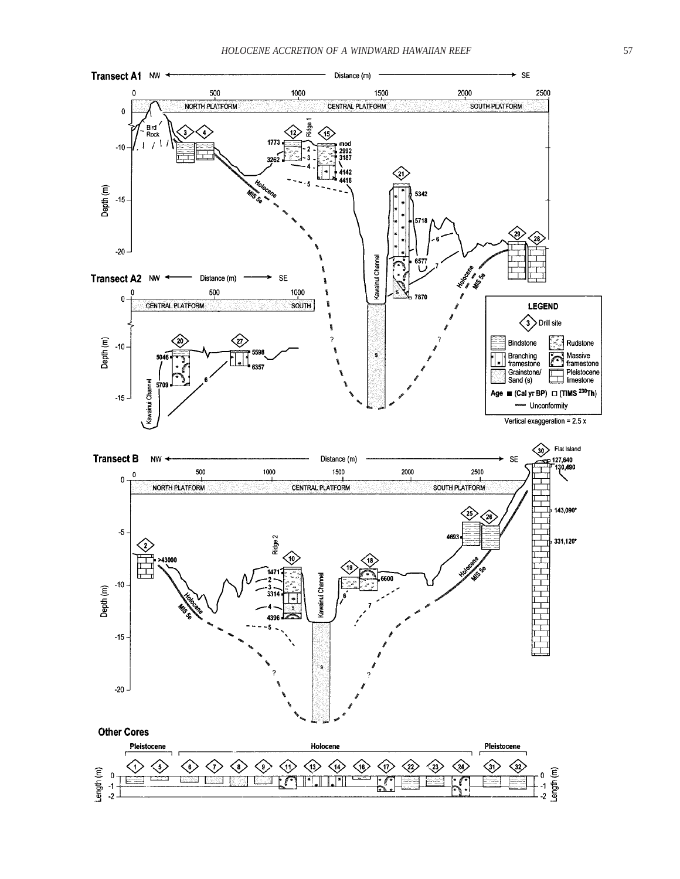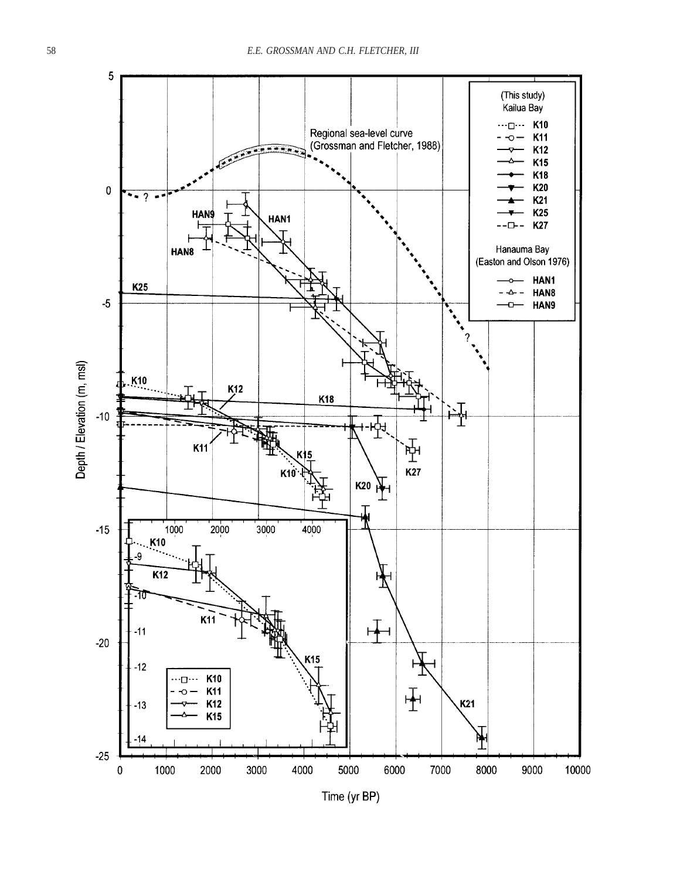

Time (yr BP)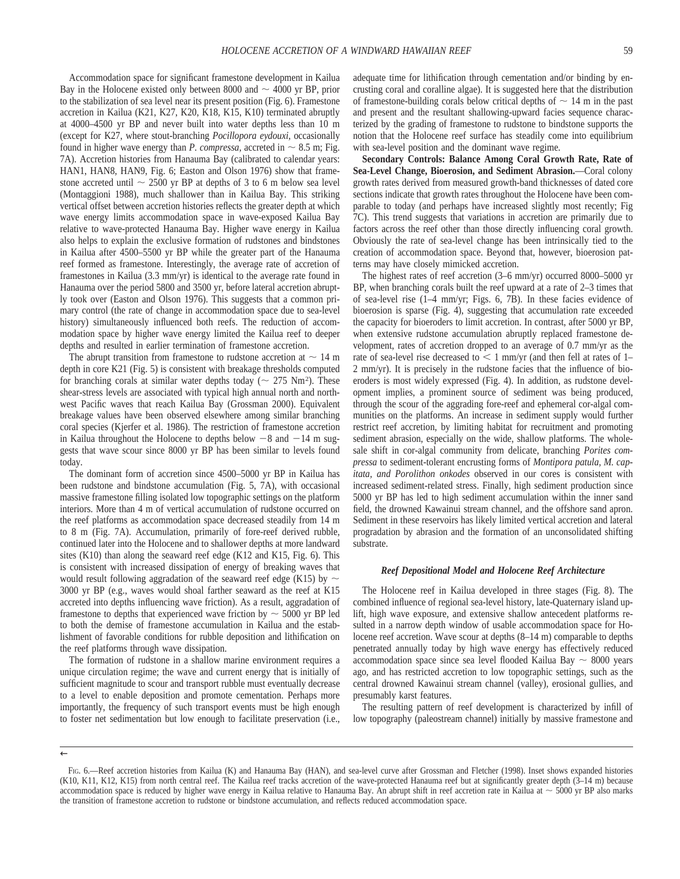Accommodation space for significant framestone development in Kailua Bay in the Holocene existed only between 8000 and  $\sim$  4000 yr BP, prior to the stabilization of sea level near its present position (Fig. 6). Framestone accretion in Kailua (K21, K27, K20, K18, K15, K10) terminated abruptly at 4000–4500 yr BP and never built into water depths less than 10 m (except for K27, where stout-branching *Pocillopora eydouxi,* occasionally found in higher wave energy than *P. compressa*, accreted in  $\sim 8.5$  m; Fig. 7A). Accretion histories from Hanauma Bay (calibrated to calendar years: HAN1, HAN8, HAN9, Fig. 6; Easton and Olson 1976) show that framestone accreted until  $\sim$  2500 yr BP at depths of 3 to 6 m below sea level (Montaggioni 1988), much shallower than in Kailua Bay. This striking vertical offset between accretion histories reflects the greater depth at which wave energy limits accommodation space in wave-exposed Kailua Bay relative to wave-protected Hanauma Bay. Higher wave energy in Kailua also helps to explain the exclusive formation of rudstones and bindstones in Kailua after 4500–5500 yr BP while the greater part of the Hanauma reef formed as framestone. Interestingly, the average rate of accretion of framestones in Kailua (3.3 mm/yr) is identical to the average rate found in Hanauma over the period 5800 and 3500 yr, before lateral accretion abruptly took over (Easton and Olson 1976). This suggests that a common primary control (the rate of change in accommodation space due to sea-level history) simultaneously influenced both reefs. The reduction of accommodation space by higher wave energy limited the Kailua reef to deeper depths and resulted in earlier termination of framestone accretion.

The abrupt transition from framestone to rudstone accretion at  $\sim$  14 m depth in core K21 (Fig. 5) is consistent with breakage thresholds computed for branching corals at similar water depths today ( $\sim 275$  Nm<sup>2</sup>). These shear-stress levels are associated with typical high annual north and northwest Pacific waves that reach Kailua Bay (Grossman 2000). Equivalent breakage values have been observed elsewhere among similar branching coral species (Kjerfer et al. 1986). The restriction of framestone accretion in Kailua throughout the Holocene to depths below  $-8$  and  $-14$  m suggests that wave scour since 8000 yr BP has been similar to levels found today.

The dominant form of accretion since 4500–5000 yr BP in Kailua has been rudstone and bindstone accumulation (Fig. 5, 7A), with occasional massive framestone filling isolated low topographic settings on the platform interiors. More than 4 m of vertical accumulation of rudstone occurred on the reef platforms as accommodation space decreased steadily from 14 m to 8 m (Fig. 7A). Accumulation, primarily of fore-reef derived rubble, continued later into the Holocene and to shallower depths at more landward sites (K10) than along the seaward reef edge (K12 and K15, Fig. 6). This is consistent with increased dissipation of energy of breaking waves that would result following aggradation of the seaward reef edge (K15) by  $\sim$ 3000 yr BP (e.g., waves would shoal farther seaward as the reef at K15 accreted into depths influencing wave friction). As a result, aggradation of framestone to depths that experienced wave friction by  $\sim$  5000 yr BP led to both the demise of framestone accumulation in Kailua and the establishment of favorable conditions for rubble deposition and lithification on the reef platforms through wave dissipation.

The formation of rudstone in a shallow marine environment requires a unique circulation regime; the wave and current energy that is initially of sufficient magnitude to scour and transport rubble must eventually decrease to a level to enable deposition and promote cementation. Perhaps more importantly, the frequency of such transport events must be high enough to foster net sedimentation but low enough to facilitate preservation (i.e.,

adequate time for lithification through cementation and/or binding by encrusting coral and coralline algae). It is suggested here that the distribution of framestone-building corals below critical depths of  $\sim$  14 m in the past and present and the resultant shallowing-upward facies sequence characterized by the grading of framestone to rudstone to bindstone supports the notion that the Holocene reef surface has steadily come into equilibrium with sea-level position and the dominant wave regime.

**Secondary Controls: Balance Among Coral Growth Rate, Rate of Sea-Level Change, Bioerosion, and Sediment Abrasion.**—Coral colony growth rates derived from measured growth-band thicknesses of dated core sections indicate that growth rates throughout the Holocene have been comparable to today (and perhaps have increased slightly most recently; Fig 7C). This trend suggests that variations in accretion are primarily due to factors across the reef other than those directly influencing coral growth. Obviously the rate of sea-level change has been intrinsically tied to the creation of accommodation space. Beyond that, however, bioerosion patterns may have closely mimicked accretion.

The highest rates of reef accretion (3–6 mm/yr) occurred 8000–5000 yr BP, when branching corals built the reef upward at a rate of 2–3 times that of sea-level rise (1–4 mm/yr; Figs. 6, 7B). In these facies evidence of bioerosion is sparse (Fig. 4), suggesting that accumulation rate exceeded the capacity for bioeroders to limit accretion. In contrast, after 5000 yr BP, when extensive rudstone accumulation abruptly replaced framestone development, rates of accretion dropped to an average of 0.7 mm/yr as the rate of sea-level rise decreased to  $\lt 1$  mm/yr (and then fell at rates of 1– 2 mm/yr). It is precisely in the rudstone facies that the influence of bioeroders is most widely expressed (Fig. 4). In addition, as rudstone development implies, a prominent source of sediment was being produced, through the scour of the aggrading fore-reef and ephemeral cor-algal communities on the platforms. An increase in sediment supply would further restrict reef accretion, by limiting habitat for recruitment and promoting sediment abrasion, especially on the wide, shallow platforms. The wholesale shift in cor-algal community from delicate, branching *Porites compressa* to sediment-tolerant encrusting forms of *Montipora patula, M. capitata, and Porolithon onkodes* observed in our cores is consistent with increased sediment-related stress. Finally, high sediment production since 5000 yr BP has led to high sediment accumulation within the inner sand field, the drowned Kawainui stream channel, and the offshore sand apron. Sediment in these reservoirs has likely limited vertical accretion and lateral progradation by abrasion and the formation of an unconsolidated shifting substrate.

#### *Reef Depositional Model and Holocene Reef Architecture*

The Holocene reef in Kailua developed in three stages (Fig. 8). The combined influence of regional sea-level history, late-Quaternary island uplift, high wave exposure, and extensive shallow antecedent platforms resulted in a narrow depth window of usable accommodation space for Holocene reef accretion. Wave scour at depths (8–14 m) comparable to depths penetrated annually today by high wave energy has effectively reduced accommodation space since sea level flooded Kailua Bay  $\sim 8000$  years ago, and has restricted accretion to low topographic settings, such as the central drowned Kawainui stream channel (valley), erosional gullies, and presumably karst features.

The resulting pattern of reef development is characterized by infill of low topography (paleostream channel) initially by massive framestone and

←

FIG. 6.—Reef accretion histories from Kailua (K) and Hanauma Bay (HAN), and sea-level curve after Grossman and Fletcher (1998). Inset shows expanded histories (K10, K11, K12, K15) from north central reef. The Kailua reef tracks accretion of the wave-protected Hanauma reef but at significantly greater depth (3–14 m) because accommodation space is reduced by higher wave energy in Kailua relative to Hanauma Bay. An abrupt shift in reef accretion rate in Kailua at  $\sim$  5000 yr BP also marks the transition of framestone accretion to rudstone or bindstone accumulation, and reflects reduced accommodation space.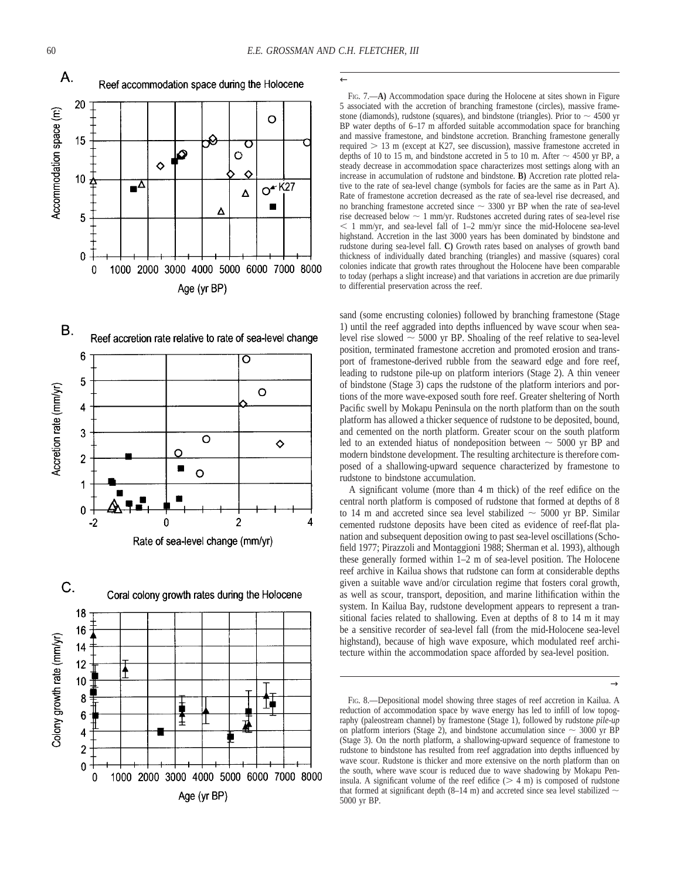





←

FIG. 7.—**A**) Accommodation space during the Holocene at sites shown in Figure 5 associated with the accretion of branching framestone (circles), massive framestone (diamonds), rudstone (squares), and bindstone (triangles). Prior to  $\sim$  4500 yr BP water depths of 6–17 m afforded suitable accommodation space for branching and massive framestone, and bindstone accretion. Branching framestone generally required . 13 m (except at K27, see discussion), massive framestone accreted in depths of 10 to 15 m, and bindstone accreted in 5 to 10 m. After  $\sim$  4500 yr BP, a steady decrease in accommodation space characterizes most settings along with an increase in accumulation of rudstone and bindstone. **B)** Accretion rate plotted relative to the rate of sea-level change (symbols for facies are the same as in Part A). Rate of framestone accretion decreased as the rate of sea-level rise decreased, and no branching framestone accreted since  $\sim$  3300 yr BP when the rate of sea-level rise decreased below  $\sim 1$  mm/yr. Rudstones accreted during rates of sea-level rise  $\leq$  1 mm/yr, and sea-level fall of 1–2 mm/yr since the mid-Holocene sea-level highstand. Accretion in the last 3000 years has been dominated by bindstone and rudstone during sea-level fall. **C)** Growth rates based on analyses of growth band thickness of individually dated branching (triangles) and massive (squares) coral colonies indicate that growth rates throughout the Holocene have been comparable to today (perhaps a slight increase) and that variations in accretion are due primarily to differential preservation across the reef.

sand (some encrusting colonies) followed by branching framestone (Stage 1) until the reef aggraded into depths influenced by wave scour when sealevel rise slowed  $\sim$  5000 yr BP. Shoaling of the reef relative to sea-level position, terminated framestone accretion and promoted erosion and transport of framestone-derived rubble from the seaward edge and fore reef, leading to rudstone pile-up on platform interiors (Stage 2). A thin veneer of bindstone (Stage 3) caps the rudstone of the platform interiors and portions of the more wave-exposed south fore reef. Greater sheltering of North Pacific swell by Mokapu Peninsula on the north platform than on the south platform has allowed a thicker sequence of rudstone to be deposited, bound, and cemented on the north platform. Greater scour on the south platform led to an extended hiatus of nondeposition between  $\sim$  5000 yr BP and modern bindstone development. The resulting architecture is therefore composed of a shallowing-upward sequence characterized by framestone to rudstone to bindstone accumulation.

A significant volume (more than 4 m thick) of the reef edifice on the central north platform is composed of rudstone that formed at depths of 8 to 14 m and accreted since sea level stabilized  $\sim$  5000 yr BP. Similar cemented rudstone deposits have been cited as evidence of reef-flat planation and subsequent deposition owing to past sea-level oscillations (Schofield 1977; Pirazzoli and Montaggioni 1988; Sherman et al. 1993), although these generally formed within 1–2 m of sea-level position. The Holocene reef archive in Kailua shows that rudstone can form at considerable depths given a suitable wave and/or circulation regime that fosters coral growth, as well as scour, transport, deposition, and marine lithification within the system. In Kailua Bay, rudstone development appears to represent a transitional facies related to shallowing. Even at depths of 8 to 14 m it may be a sensitive recorder of sea-level fall (from the mid-Holocene sea-level highstand), because of high wave exposure, which modulated reef architecture within the accommodation space afforded by sea-level position.

FIG. 8.—Depositional model showing three stages of reef accretion in Kailua. A reduction of accommodation space by wave energy has led to infill of low topography (paleostream channel) by framestone (Stage 1), followed by rudstone *pile-up* on platform interiors (Stage 2), and bindstone accumulation since  $\sim$  3000 yr BP (Stage 3). On the north platform, a shallowing-upward sequence of framestone to rudstone to bindstone has resulted from reef aggradation into depths influenced by wave scour. Rudstone is thicker and more extensive on the north platform than on the south, where wave scour is reduced due to wave shadowing by Mokapu Peninsula. A significant volume of the reef edifice  $($  > 4 m) is composed of rudstone that formed at significant depth (8–14 m) and accreted since sea level stabilized  $\sim$ 5000 yr BP.

 $\rightarrow$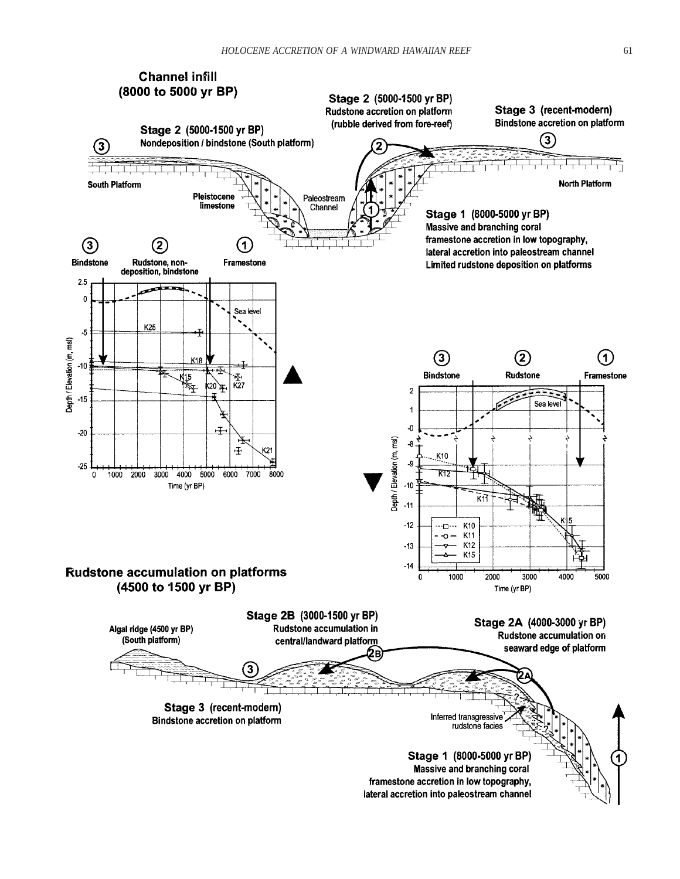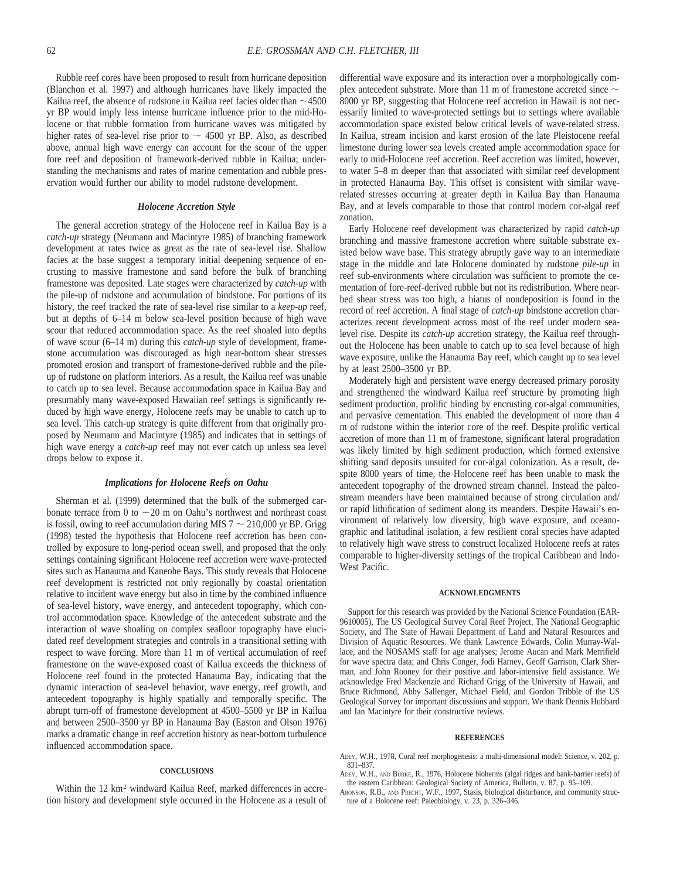Rubble reef cores have been proposed to result from hurricane deposition (Blanchon et al. 1997) and although hurricanes have likely impacted the Kailua reef, the absence of rudstone in Kailua reef facies older than  $\sim$  4500 yr BP would imply less intense hurricane influence prior to the mid-Holocene or that rubble formation from hurricane waves was mitigated by higher rates of sea-level rise prior to  $\sim$  4500 yr BP. Also, as described above, annual high wave energy can account for the scour of the upper fore reef and deposition of framework-derived rubble in Kailua; understanding the mechanisms and rates of marine cementation and rubble preservation would further our ability to model rudstone development.

## *Holocene Accretion Style*

The general accretion strategy of the Holocene reef in Kailua Bay is a *catch-up* strategy (Neumann and Macintyre 1985) of branching framework development at rates twice as great as the rate of sea-level rise. Shallow facies at the base suggest a temporary initial deepening sequence of encrusting to massive framestone and sand before the bulk of branching framestone was deposited. Late stages were characterized by *catch-up* with the pile-up of rudstone and accumulation of bindstone. For portions of its history, the reef tracked the rate of sea-level rise similar to a *keep-up* reef, but at depths of 6–14 m below sea-level position because of high wave scour that reduced accommodation space. As the reef shoaled into depths of wave scour (6–14 m) during this *catch-up* style of development, framestone accumulation was discouraged as high near-bottom shear stresses promoted erosion and transport of framestone-derived rubble and the pileup of rudstone on platform interiors. As a result, the Kailua reef was unable to catch up to sea level. Because accommodation space in Kailua Bay and presumably many wave-exposed Hawaiian reef settings is significantly reduced by high wave energy, Holocene reefs may be unable to catch up to sea level. This catch-up strategy is quite different from that originally proposed by Neumann and Macintyre (1985) and indicates that in settings of high wave energy a *catch-up* reef may not ever catch up unless sea level drops below to expose it.

### *Implications for Holocene Reefs on Oahu*

Sherman et al. (1999) determined that the bulk of the submerged carbonate terrace from 0 to  $-20$  m on Oahu's northwest and northeast coast is fossil, owing to reef accumulation during MIS  $7 \sim 210,000$  yr BP. Grigg (1998) tested the hypothesis that Holocene reef accretion has been controlled by exposure to long-period ocean swell, and proposed that the only settings containing significant Holocene reef accretion were wave-protected sites such as Hanauma and Kaneohe Bays. This study reveals that Holocene reef development is restricted not only regionally by coastal orientation relative to incident wave energy but also in time by the combined influence of sea-level history, wave energy, and antecedent topography, which control accommodation space. Knowledge of the antecedent substrate and the interaction of wave shoaling on complex seafloor topography have elucidated reef development strategies and controls in a transitional setting with respect to wave forcing. More than 11 m of vertical accumulation of reef framestone on the wave-exposed coast of Kailua exceeds the thickness of Holocene reef found in the protected Hanauma Bay, indicating that the dynamic interaction of sea-level behavior, wave energy, reef growth, and antecedent topography is highly spatially and temporally specific. The abrupt turn-off of framestone development at 4500–5500 yr BP in Kailua and between 2500–3500 yr BP in Hanauma Bay (Easton and Olson 1976) marks a dramatic change in reef accretion history as near-bottom turbulence influenced accommodation space.

### **CONCLUSIONS**

Within the 12 km<sup>2</sup> windward Kailua Reef, marked differences in accretion history and development style occurred in the Holocene as a result of differential wave exposure and its interaction over a morphologically complex antecedent substrate. More than 11 m of framestone accreted since  $\sim$ 8000 yr BP, suggesting that Holocene reef accretion in Hawaii is not necessarily limited to wave-protected settings but to settings where available accommodation space existed below critical levels of wave-related stress. In Kailua, stream incision and karst erosion of the late Pleistocene reefal limestone during lower sea levels created ample accommodation space for early to mid-Holocene reef accretion. Reef accretion was limited, however, to water 5–8 m deeper than that associated with similar reef development in protected Hanauma Bay. This offset is consistent with similar waverelated stresses occurring at greater depth in Kailua Bay than Hanauma Bay, and at levels comparable to those that control modern cor-algal reef zonation.

Early Holocene reef development was characterized by rapid *catch-up* branching and massive framestone accretion where suitable substrate existed below wave base. This strategy abruptly gave way to an intermediate stage in the middle and late Holocene dominated by rudstone *pile-up* in reef sub-environments where circulation was sufficient to promote the cementation of fore-reef-derived rubble but not its redistribution. Where nearbed shear stress was too high, a hiatus of nondeposition is found in the record of reef accretion. A final stage of *catch-up* bindstone accretion characterizes recent development across most of the reef under modern sealevel rise. Despite its *catch-up* accretion strategy, the Kailua reef throughout the Holocene has been unable to catch up to sea level because of high wave exposure, unlike the Hanauma Bay reef, which caught up to sea level by at least 2500–3500 yr BP.

Moderately high and persistent wave energy decreased primary porosity and strengthened the windward Kailua reef structure by promoting high sediment production, prolific binding by encrusting cor-algal communities, and pervasive cementation. This enabled the development of more than 4 m of rudstone within the interior core of the reef. Despite prolific vertical accretion of more than 11 m of framestone, significant lateral progradation was likely limited by high sediment production, which formed extensive shifting sand deposits unsuited for cor-algal colonization. As a result, despite 8000 years of time, the Holocene reef has been unable to mask the antecedent topography of the drowned stream channel. Instead the paleostream meanders have been maintained because of strong circulation and/ or rapid lithification of sediment along its meanders. Despite Hawaii's environment of relatively low diversity, high wave exposure, and oceanographic and latitudinal isolation, a few resilient coral species have adapted to relatively high wave stress to construct localized Holocene reefs at rates comparable to higher-diversity settings of the tropical Caribbean and Indo-West Pacific.

#### **ACKNOWLEDGMENTS**

Support for this research was provided by the National Science Foundation (EAR-9610005), The US Geological Survey Coral Reef Project, The National Geographic Society, and The State of Hawaii Department of Land and Natural Resources and Division of Aquatic Resources. We thank Lawrence Edwards, Colin Murray-Wallace, and the NOSAMS staff for age analyses; Jerome Aucan and Mark Merrifield for wave spectra data; and Chris Conger, Jodi Harney, Geoff Garrison, Clark Sherman, and John Rooney for their positive and labor-intensive field assistance. We acknowledge Fred Mackenzie and Richard Grigg of the University of Hawaii, and Bruce Richmond, Abby Sallenger, Michael Field, and Gordon Tribble of the US Geological Survey for important discussions and support. We thank Dennis Hubbard and Ian Macintyre for their constructive reviews.

#### **REFERENCES**

- ADEY, W.H., 1978, Coral reef morphogenesis: a multi-dimensional model: Science, v. 202, p. 831–837.
- ADEY, W.H., AND BURKE, R., 1976, Holocene bioherms (algal ridges and bank-barrier reefs) of the eastern Caribbean: Geological Society of America, Bulletin, v. 87, p. 95–109.
- ARONSON, R.B., AND PRECHT, W.F., 1997, Stasis, biological disturbance, and community struc-ture of a Holocene reef: Paleobiology, v. 23, p. 326–346.